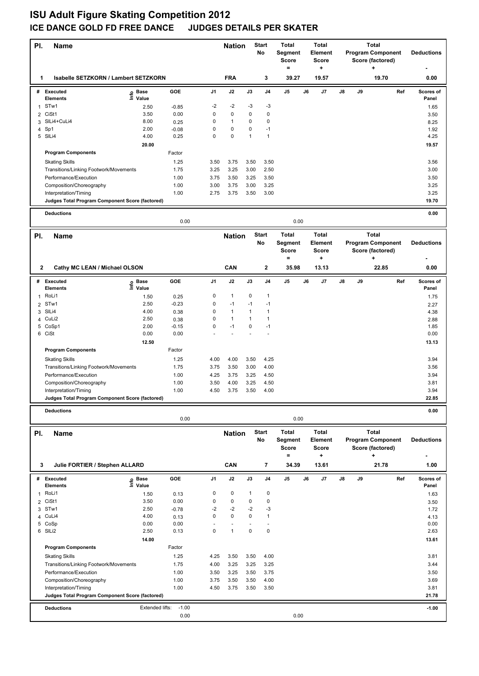## **ISU Adult Figure Skating Competition 2012 ICE DANCE GOLD FD FREE DANCE JUDGES DETAILS PER SKATER**

| PI.            | <b>Name</b>                                     |                   |         | <b>Nation</b>  |               | <b>Start</b><br>No | Total<br>Segment<br><b>Score</b><br>$=$ |                | <b>Total</b><br>Element<br>Score<br>÷ |              | <b>Total</b><br><b>Program Component</b><br>Score (factored) | <b>Deductions</b> |                          |                   |
|----------------|-------------------------------------------------|-------------------|---------|----------------|---------------|--------------------|-----------------------------------------|----------------|---------------------------------------|--------------|--------------------------------------------------------------|-------------------|--------------------------|-------------------|
| 1              | Isabelle SETZKORN / Lambert SETZKORN            |                   |         |                | <b>FRA</b>    |                    | 3                                       | 39.27          |                                       | 19.57        |                                                              |                   | ٠<br>19.70               | 0.00              |
|                | # Executed<br>e                                 | Base              | GOE     | J1             | J2            | $\mathsf{J3}$      | J4                                      | J <sub>5</sub> | J6                                    | J7           | J8                                                           | J9                | Ref                      | Scores of         |
|                | <b>Elements</b><br>STw1                         | Value             |         | -2             | -2            | -3                 | -3                                      |                |                                       |              |                                                              |                   |                          | Panel             |
| 1              |                                                 | 2.50              | $-0.85$ |                |               |                    |                                         |                |                                       |              |                                                              |                   |                          | 1.65              |
| $\overline{2}$ | CiSt1                                           | 3.50              | 0.00    | 0              | $\pmb{0}$     | 0                  | $\mathbf 0$                             |                |                                       |              |                                                              |                   |                          | 3.50              |
| 3              | SILi4+CuLi4                                     | 8.00              | 0.25    | 0              | $\mathbf{1}$  | 0                  | 0                                       |                |                                       |              |                                                              |                   |                          | 8.25              |
| 4              | Sp1                                             | 2.00              | $-0.08$ | 0              | $\pmb{0}$     | 0<br>1             | $-1$                                    |                |                                       |              |                                                              |                   |                          | 1.92              |
|                | 5 SILi4                                         | 4.00              | 0.25    | 0              | 0             |                    | $\mathbf{1}$                            |                |                                       |              |                                                              |                   |                          | 4.25              |
|                |                                                 | 20.00             |         |                |               |                    |                                         |                |                                       |              |                                                              |                   |                          | 19.57             |
|                | <b>Program Components</b>                       |                   | Factor  |                |               |                    |                                         |                |                                       |              |                                                              |                   |                          |                   |
|                | <b>Skating Skills</b>                           |                   | 1.25    | 3.50           | 3.75          | 3.50               | 3.50                                    |                |                                       |              |                                                              |                   |                          | 3.56              |
|                | Transitions/Linking Footwork/Movements          |                   | 1.75    | 3.25           | 3.25          | 3.00               | 2.50                                    |                |                                       |              |                                                              |                   |                          | 3.00              |
|                | Performance/Execution                           |                   | 1.00    | 3.75           | 3.50          | 3.25               | 3.50                                    |                |                                       |              |                                                              |                   |                          | 3.50              |
|                | Composition/Choreography                        |                   | 1.00    | 3.00           | 3.75          | 3.00               | 3.25                                    |                |                                       |              |                                                              |                   |                          | 3.25              |
|                | Interpretation/Timing                           |                   | 1.00    | 2.75           | 3.75          | 3.50               | 3.00                                    |                |                                       |              |                                                              |                   |                          | 3.25              |
|                | Judges Total Program Component Score (factored) |                   |         |                |               |                    |                                         |                |                                       |              |                                                              |                   |                          | 19.70             |
|                | <b>Deductions</b>                               |                   |         |                |               |                    |                                         |                |                                       |              |                                                              |                   |                          | 0.00              |
|                |                                                 |                   | 0.00    |                |               |                    |                                         | 0.00           |                                       |              |                                                              |                   |                          |                   |
| PI.            | <b>Name</b>                                     |                   |         |                | <b>Nation</b> |                    | <b>Start</b>                            | <b>Total</b>   |                                       | <b>Total</b> |                                                              |                   | <b>Total</b>             |                   |
|                |                                                 |                   |         |                |               |                    | No                                      | Segment        |                                       | Element      |                                                              |                   | <b>Program Component</b> | <b>Deductions</b> |
|                |                                                 |                   |         |                |               |                    |                                         | Score          |                                       | <b>Score</b> |                                                              |                   | Score (factored)         |                   |
|                |                                                 |                   |         |                |               |                    |                                         | $=$            |                                       | +            |                                                              |                   | ٠                        |                   |
| $\mathbf{2}$   | Cathy MC LEAN / Michael OLSON                   |                   |         |                | CAN           |                    | 2                                       | 35.98          |                                       | 13.13        |                                                              |                   | 22.85                    | 0.00              |
|                |                                                 |                   |         |                |               |                    |                                         |                |                                       |              |                                                              |                   |                          |                   |
| #              | <b>Executed</b>                                 | e Base<br>⊆ Value | GOE     | J1             | J2            | J3                 | J4                                      | J5             | J6                                    | J7           | J8                                                           | J9                | Ref                      | Scores of         |
|                | <b>Elements</b>                                 |                   |         |                |               |                    |                                         |                |                                       |              |                                                              |                   |                          | Panel             |
| 1              | RoLi1                                           | 1.50              | 0.25    | 0              | $\mathbf{1}$  | 0                  | $\mathbf{1}$                            |                |                                       |              |                                                              |                   |                          | 1.75              |
|                | 2 STw1                                          | 2.50              | $-0.23$ | 0              | $-1$          | $-1$               | $-1$                                    |                |                                       |              |                                                              |                   |                          | 2.27              |
| 3              | SILi4                                           | 4.00              | 0.38    | 0              | $\mathbf{1}$  | $\mathbf{1}$       | $\mathbf{1}$                            |                |                                       |              |                                                              |                   |                          | 4.38              |
|                | 4 CuLi2                                         | 2.50              | 0.38    | 0              | $\mathbf{1}$  | $\mathbf{1}$       | $\mathbf{1}$                            |                |                                       |              |                                                              |                   |                          | 2.88              |
| 5              | CoSp1                                           | 2.00              | $-0.15$ | 0              | $-1$          | 0                  | $-1$                                    |                |                                       |              |                                                              |                   |                          | 1.85              |
|                | 6 CiSt                                          | 0.00              | 0.00    |                |               |                    |                                         |                |                                       |              |                                                              |                   |                          | 0.00              |
|                |                                                 | 12.50             |         |                |               |                    |                                         |                |                                       |              |                                                              |                   |                          | 13.13             |
|                | <b>Program Components</b>                       |                   | Factor  |                |               |                    |                                         |                |                                       |              |                                                              |                   |                          |                   |
|                | <b>Skating Skills</b>                           |                   | 1.25    | 4.00           | 4.00          | 3.50               | 4.25                                    |                |                                       |              |                                                              |                   |                          | 3.94              |
|                | Transitions/Linking Footwork/Movements          |                   | 1.75    | 3.75           | 3.50          | 3.00               | 4.00                                    |                |                                       |              |                                                              |                   |                          | 3.56              |
|                | Performance/Execution                           |                   | 1.00    | 4.25           | 3.75          | 3.25               | 4.50                                    |                |                                       |              |                                                              |                   |                          | 3.94              |
|                | Composition/Choreography                        |                   | 1.00    | 3.50           | 4.00          | 3.25               | 4.50                                    |                |                                       |              |                                                              |                   |                          | 3.81              |
|                | Interpretation/Timing                           |                   | 1.00    | 4.50           | 3.75          | 3.50               | 4.00                                    |                |                                       |              |                                                              |                   |                          | 3.94              |
|                | Judges Total Program Component Score (factored) |                   |         |                |               |                    |                                         |                |                                       |              |                                                              |                   |                          | 22.85             |
|                |                                                 |                   |         |                |               |                    |                                         |                |                                       |              |                                                              |                   |                          |                   |
|                | <b>Deductions</b>                               |                   | 0.00    |                |               |                    |                                         | 0.00           |                                       |              |                                                              |                   |                          | 0.00              |
|                |                                                 |                   |         |                |               |                    |                                         |                |                                       |              |                                                              |                   |                          |                   |
| PI.            | <b>Name</b>                                     |                   |         |                | <b>Nation</b> |                    | Start                                   | <b>Total</b>   |                                       | <b>Total</b> |                                                              |                   | <b>Total</b>             |                   |
|                |                                                 |                   |         |                |               |                    | No                                      | Segment        |                                       | Element      |                                                              |                   | <b>Program Component</b> | <b>Deductions</b> |
|                |                                                 |                   |         |                |               |                    |                                         | Score          |                                       | <b>Score</b> |                                                              |                   | Score (factored)         |                   |
|                |                                                 |                   |         |                |               |                    |                                         | $=$            |                                       | ÷            |                                                              |                   | +                        |                   |
| 3              | Julie FORTIER / Stephen ALLARD                  |                   |         |                | CAN           |                    | 7                                       | 34.39          |                                       | 13.61        |                                                              |                   | 21.78                    | 1.00              |
|                | # Executed                                      | e Base<br>⊆ Value | GOE     | J <sub>1</sub> | J2            | J3                 | J4                                      | J5             | J6                                    | J7           | J8                                                           | J9                | Ref                      | Scores of         |
|                | Elements                                        |                   |         |                |               |                    |                                         |                |                                       |              |                                                              |                   |                          | Panel             |
| $\mathbf{1}$   | RoLi1                                           | 1.50              | 0.13    | 0              | 0             | $\mathbf{1}$       | 0                                       |                |                                       |              |                                                              |                   |                          | 1.63              |
| $\overline{2}$ | CiSt1                                           | 3.50              | 0.00    | 0              | $\pmb{0}$     | 0                  | $\mathbf 0$                             |                |                                       |              |                                                              |                   |                          | 3.50              |
| 3              | STw1                                            | 2.50              | $-0.78$ | $-2$           | $-2$          | -2                 | -3                                      |                |                                       |              |                                                              |                   |                          | 1.72              |
| 4              | CuLi4                                           | 4.00              | 0.13    | 0              | $\pmb{0}$     | 0                  | $\mathbf{1}$                            |                |                                       |              |                                                              |                   |                          | 4.13              |
| 5              | CoSp                                            | 0.00              | 0.00    |                | L,            |                    | ÷,                                      |                |                                       |              |                                                              |                   |                          | 0.00              |
|                | 6 SILi2                                         | 2.50              | 0.13    | 0              | $\mathbf{1}$  | 0                  | $\mathbf 0$                             |                |                                       |              |                                                              |                   |                          | 2.63              |
|                |                                                 | 14.00             |         |                |               |                    |                                         |                |                                       |              |                                                              |                   |                          | 13.61             |
|                | <b>Program Components</b>                       |                   | Factor  |                |               |                    |                                         |                |                                       |              |                                                              |                   |                          |                   |
|                | <b>Skating Skills</b>                           |                   | 1.25    | 4.25           | 3.50          | 3.50               | 4.00                                    |                |                                       |              |                                                              |                   |                          | 3.81              |
|                | Transitions/Linking Footwork/Movements          |                   | 1.75    | 4.00           | 3.25          | 3.25               | 3.25                                    |                |                                       |              |                                                              |                   |                          | 3.44              |
|                | Performance/Execution                           |                   | 1.00    | 3.50           | 3.25          | 3.50               | 3.75                                    |                |                                       |              |                                                              |                   |                          | 3.50              |
|                | Composition/Choreography                        |                   | 1.00    | 3.75           | 3.50          | 3.50               | 4.00                                    |                |                                       |              |                                                              |                   |                          | 3.69              |
|                | Interpretation/Timing                           |                   | 1.00    | 4.50           | 3.75          | 3.50               | 3.50                                    |                |                                       |              |                                                              |                   |                          | 3.81              |
|                | Judges Total Program Component Score (factored) |                   |         |                |               |                    |                                         |                |                                       |              |                                                              |                   |                          | 21.78             |
|                |                                                 |                   |         |                |               |                    |                                         |                |                                       |              |                                                              |                   |                          |                   |
|                | <b>Deductions</b>                               | Extended lifts:   | $-1.00$ |                |               |                    |                                         |                |                                       |              |                                                              |                   |                          | $-1.00$           |
|                |                                                 |                   | 0.00    |                |               |                    |                                         | 0.00           |                                       |              |                                                              |                   |                          |                   |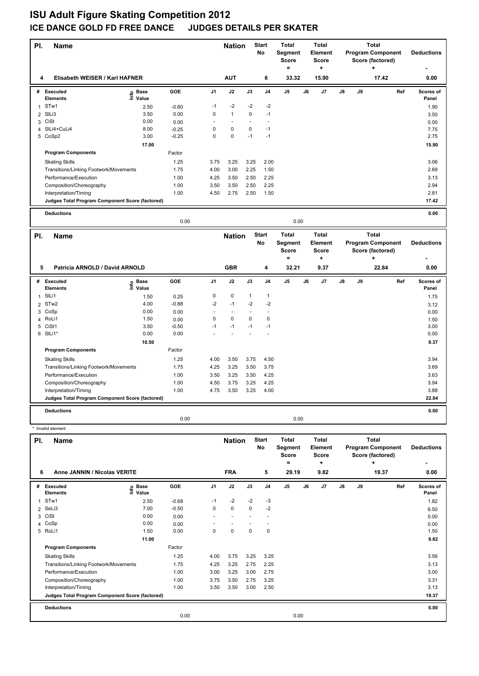## **ISU Adult Figure Skating Competition 2012 ICE DANCE GOLD FD FREE DANCE JUDGES DETAILS PER SKATER**

| PI.          | Name                                            |                   |         |                | <b>Nation</b> |        | <b>Start</b><br>No       | Total<br>Segment<br><b>Score</b><br>$\qquad \qquad =$     |    | Total<br><b>Element</b><br><b>Score</b><br>÷  |    |    | <b>Total</b><br><b>Program Component</b><br>Score (factored)<br>٠ |     | <b>Deductions</b>  |
|--------------|-------------------------------------------------|-------------------|---------|----------------|---------------|--------|--------------------------|-----------------------------------------------------------|----|-----------------------------------------------|----|----|-------------------------------------------------------------------|-----|--------------------|
| 4            | Elisabeth WEISER / Karl HAFNER                  |                   |         |                | <b>AUT</b>    |        | 6                        | 33.32                                                     |    | 15.90                                         |    |    | 17.42                                                             |     | 0.00               |
|              | # Executed<br><b>Elements</b>                   | e Base<br>⊑ Value | GOE     | J1             | J2            | J3     | J4                       | J <sub>5</sub>                                            | J6 | J7                                            | J8 | J9 |                                                                   | Ref | Scores of<br>Panel |
|              | 1 STw1                                          | 2.50              | $-0.60$ | $-1$           | -2            | $-2$   | $-2$                     |                                                           |    |                                               |    |    |                                                                   |     | 1.90               |
| 2            | SILi3                                           | 3.50              | 0.00    | 0              | $\mathbf{1}$  | 0      | $-1$                     |                                                           |    |                                               |    |    |                                                                   |     | 3.50               |
| 3            | CiSt                                            | 0.00              | 0.00    | ä,             | $\sim$        |        | ÷,                       |                                                           |    |                                               |    |    |                                                                   |     | 0.00               |
| 4            | SILi4+CuLi4                                     | 8.00              | $-0.25$ | 0              | 0             | 0      | $-1$                     |                                                           |    |                                               |    |    |                                                                   |     | 7.75               |
|              | 5 CoSp2                                         | 3.00              | $-0.25$ | 0              | 0             | $-1$   | $-1$                     |                                                           |    |                                               |    |    |                                                                   |     | 2.75               |
|              |                                                 | 17.00             |         |                |               |        |                          |                                                           |    |                                               |    |    |                                                                   |     | 15.90              |
|              | <b>Program Components</b>                       |                   | Factor  |                |               |        |                          |                                                           |    |                                               |    |    |                                                                   |     |                    |
|              | <b>Skating Skills</b>                           |                   | 1.25    | 3.75           | 3.25          | 3.25   | 2.00                     |                                                           |    |                                               |    |    |                                                                   |     | 3.06               |
|              | Transitions/Linking Footwork/Movements          |                   | 1.75    | 4.00           | 3.00          | 2.25   | 1.50                     |                                                           |    |                                               |    |    |                                                                   |     | 2.69               |
|              | Performance/Execution                           |                   | 1.00    | 4.25           | 3.50          | 2.50   | 2.25                     |                                                           |    |                                               |    |    |                                                                   |     | 3.13               |
|              | Composition/Choreography                        |                   | 1.00    | 3.50           | 3.50          | 2.50   | 2.25                     |                                                           |    |                                               |    |    |                                                                   |     | 2.94               |
|              | Interpretation/Timing                           |                   | 1.00    | 4.50           | 2.75          | 2.50   | 1.50                     |                                                           |    |                                               |    |    |                                                                   |     | 2.81               |
|              | Judges Total Program Component Score (factored) |                   |         |                |               |        |                          |                                                           |    |                                               |    |    |                                                                   |     | 17.42              |
|              | <b>Deductions</b>                               |                   |         |                |               |        |                          |                                                           |    |                                               |    |    |                                                                   |     | 0.00               |
|              |                                                 |                   | 0.00    |                |               |        |                          | 0.00                                                      |    |                                               |    |    |                                                                   |     |                    |
| PI.          | <b>Name</b>                                     |                   |         |                | <b>Nation</b> |        | Start<br>No              | Total<br>Segment<br><b>Score</b><br>$\equiv$              |    | Total<br><b>Element</b><br><b>Score</b><br>۰. |    |    | <b>Total</b><br><b>Program Component</b><br>Score (factored)<br>÷ |     | <b>Deductions</b>  |
| 5            | Patricia ARNOLD / David ARNOLD                  |                   |         |                | <b>GBR</b>    |        | 4                        | 32.21                                                     |    | 9.37                                          |    |    | 22.84                                                             |     | 0.00               |
| #            | <b>Executed</b>                                 | Base              | GOE     | J <sub>1</sub> | J2            | J3     | J4                       | J5                                                        | J6 | J7                                            | J8 | J9 |                                                                   | Ref | Scores of          |
|              | <b>Elements</b>                                 | o Base<br>⊆ Value |         |                |               |        |                          |                                                           |    |                                               |    |    |                                                                   |     | Panel              |
| $\mathbf{1}$ | SILi1                                           | 1.50              | 0.25    | 0              | 0             | 1      | 1                        |                                                           |    |                                               |    |    |                                                                   |     | 1.75               |
| 2            | STw <sub>2</sub>                                | 4.00              | $-0.88$ | $-2$           | $-1$          | $-2$   | $-2$                     |                                                           |    |                                               |    |    |                                                                   |     | 3.12               |
| 3            | CoSp                                            | 0.00              | 0.00    | $\sim$         | $\sim$        | $\sim$ | $\overline{\phantom{a}}$ |                                                           |    |                                               |    |    |                                                                   |     | 0.00               |
| 4            | RoLi1                                           | 1.50              | 0.00    | 0              | 0             | 0      | 0                        |                                                           |    |                                               |    |    |                                                                   |     | 1.50               |
| 5            | CiSt1                                           | 3.50              | $-0.50$ | $-1$           | $-1$          | $-1$   | $-1$                     |                                                           |    |                                               |    |    |                                                                   |     | 3.00               |
|              | 6 SILi1*                                        | 0.00              | 0.00    |                |               |        |                          |                                                           |    |                                               |    |    |                                                                   |     | 0.00               |
|              |                                                 | 10.50             |         |                |               |        |                          |                                                           |    |                                               |    |    |                                                                   |     | 9.37               |
|              | <b>Program Components</b>                       |                   | Factor  |                |               |        |                          |                                                           |    |                                               |    |    |                                                                   |     |                    |
|              | <b>Skating Skills</b>                           |                   | 1.25    | 4.00           | 3.50          | 3.75   | 4.50                     |                                                           |    |                                               |    |    |                                                                   |     | 3.94               |
|              | Transitions/Linking Footwork/Movements          |                   | 1.75    | 4.25           | 3.25          | 3.50   | 3.75                     |                                                           |    |                                               |    |    |                                                                   |     | 3.69               |
|              | Performance/Execution                           |                   | 1.00    | 3.50           | 3.25          | 3.50   | 4.25                     |                                                           |    |                                               |    |    |                                                                   |     | 3.63               |
|              | Composition/Choreography                        |                   | 1.00    | 4.50           | 3.75          | 3.25   | 4.25                     |                                                           |    |                                               |    |    |                                                                   |     | 3.94               |
|              | Interpretation/Timing                           |                   | 1.00    | 4.75           | 3.50          | 3.25   | 4.00                     |                                                           |    |                                               |    |    |                                                                   |     | 3.88               |
|              | Judges Total Program Component Score (factored) |                   |         |                |               |        |                          |                                                           |    |                                               |    |    |                                                                   |     | 22.84              |
|              | <b>Deductions</b>                               |                   |         |                |               |        |                          |                                                           |    |                                               |    |    |                                                                   |     | 0.00               |
|              | * Invalid element                               |                   | 0.00    |                |               |        |                          | 0.00                                                      |    |                                               |    |    |                                                                   |     |                    |
|              |                                                 |                   |         |                |               |        |                          |                                                           |    |                                               |    |    |                                                                   |     |                    |
| PI.          | Name                                            |                   |         |                | <b>Nation</b> |        | <b>Start</b><br>No       | <b>Total</b><br>Segment<br><b>Score</b><br>$\blacksquare$ |    | <b>Total</b><br>Element<br>Score<br>٠.        |    |    | <b>Total</b><br><b>Program Component</b><br>Score (factored)<br>٠ |     | <b>Deductions</b>  |
| 6            | Anne JANNIN / Nicolas VERITE                    |                   |         |                | <b>FRA</b>    |        | 5                        | 29.19                                                     |    | 9.82                                          |    |    | 19.37                                                             |     | 0.00               |
|              | # Executed<br>Elements                          | e Base<br>⊆ Value | GOE     | J1             | J2            | J3     | J4                       | J <sub>5</sub>                                            | J6 | J7                                            | J8 | J9 |                                                                   | Ref | Scores of<br>Panel |
| 1            | STw1                                            | 2.50              | $-0.68$ | $-1$           | -2            | -2     | -3                       |                                                           |    |                                               |    |    |                                                                   |     | 1.82               |
| 2            | SeLi3                                           | 7.00              | $-0.50$ | 0              | 0             | 0      | $-2$                     |                                                           |    |                                               |    |    |                                                                   |     | 6.50               |
|              | 3 CiSt                                          | 0.00              | 0.00    |                | $\sim$        |        | $\ddot{\phantom{1}}$     |                                                           |    |                                               |    |    |                                                                   |     | 0.00               |
| 4            | CoSp                                            | 0.00              | 0.00    |                |               |        |                          |                                                           |    |                                               |    |    |                                                                   |     | 0.00               |
|              | 5 RoLi1                                         | 1.50              | 0.00    | 0              | 0             | 0      | $\mathbf 0$              |                                                           |    |                                               |    |    |                                                                   |     | 1.50               |
|              |                                                 | 11.00             |         |                |               |        |                          |                                                           |    |                                               |    |    |                                                                   |     | 9.82               |
|              | <b>Program Components</b>                       |                   | Factor  |                |               |        |                          |                                                           |    |                                               |    |    |                                                                   |     |                    |
|              | <b>Skating Skills</b>                           |                   | 1.25    | 4.00           | 3.75          | 3.25   | 3.25                     |                                                           |    |                                               |    |    |                                                                   |     | 3.56               |
|              | Transitions/Linking Footwork/Movements          |                   | 1.75    | 4.25           | 3.25          | 2.75   | 2.25                     |                                                           |    |                                               |    |    |                                                                   |     | 3.13               |
|              | Performance/Execution                           |                   | 1.00    | 3.00           | 3.25          | 3.00   | 2.75                     |                                                           |    |                                               |    |    |                                                                   |     | 3.00               |
|              | Composition/Choreography                        |                   | 1.00    | 3.75           | 3.50          | 2.75   | 3.25                     |                                                           |    |                                               |    |    |                                                                   |     | 3.31               |
|              | Interpretation/Timing                           |                   | 1.00    | 3.50           | 3.50          | 3.00   | 2.50                     |                                                           |    |                                               |    |    |                                                                   |     | 3.13               |
|              | Judges Total Program Component Score (factored) |                   |         |                |               |        |                          |                                                           |    |                                               |    |    |                                                                   |     | 19.37              |

**Deductions 0.00** 0.00 0.00